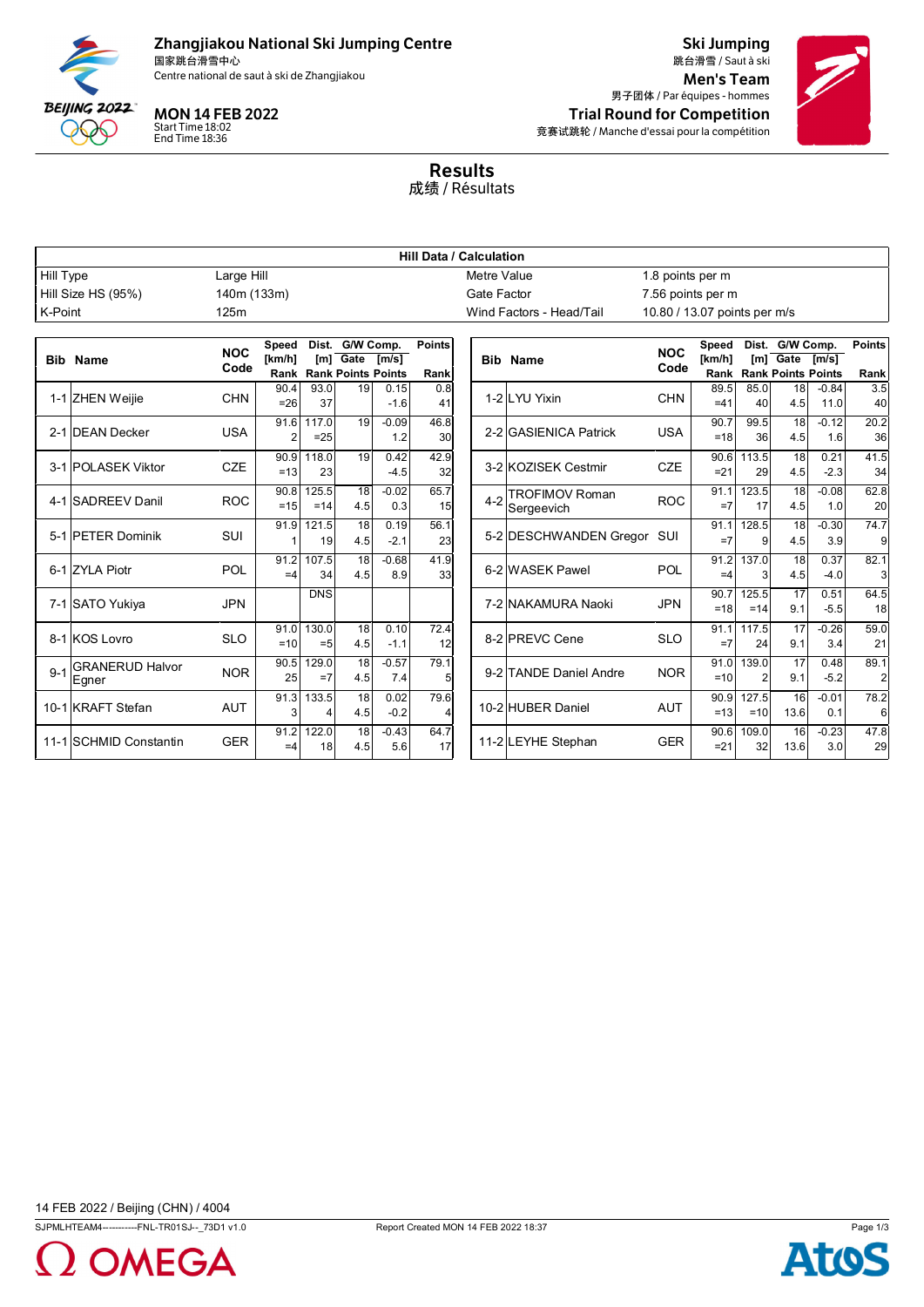

# Zhangjiakou National Ski Jumping Centre

国家跳台滑雪中心

Start Time 18:02 End Time 18:36

Ski Jumping 跳台滑雪 / Saut à ski Centre national de saut à ski de Zhangjiakou de la commune de la commune de la commune de la commune de la commune de la commune de la commune de la commune de la commune de la commune de la commune de la commune de la com 男子团体 / Par équipes - hommes MON 14 FEB 2022 **Trial Round for Competition** 竞赛试跳轮 / Manche d'essai pour la compétition



Results 成绩 / Résultats

|                    | <b>Hill Data / Calculation</b>  |                    |                |                          |                                         |                |                |         |                            |                              |               |                |                                              |                |                |
|--------------------|---------------------------------|--------------------|----------------|--------------------------|-----------------------------------------|----------------|----------------|---------|----------------------------|------------------------------|---------------|----------------|----------------------------------------------|----------------|----------------|
| <b>Hill Type</b>   |                                 | Large Hill         | Metre Value    |                          |                                         |                |                |         | 1.8 points per m           |                              |               |                |                                              |                |                |
| Hill Size HS (95%) |                                 | 140m (133m)        |                |                          |                                         |                | Gate Factor    |         | 7.56 points per m          |                              |               |                |                                              |                |                |
| K-Point            |                                 | 125m               |                | Wind Factors - Head/Tail |                                         |                |                |         |                            | 10.80 / 13.07 points per m/s |               |                |                                              |                |                |
|                    |                                 |                    |                |                          |                                         |                |                |         |                            |                              |               |                |                                              |                |                |
|                    |                                 | <b>NOC</b><br>Code | Speed          |                          | Dist. G/W Comp.                         |                | <b>Points</b>  |         |                            | <b>NOC</b>                   | Speed         |                | Dist. G/W Comp.                              |                | <b>Points</b>  |
| <b>Bib</b>         | <b>Name</b>                     |                    | [km/h]<br>Rank |                          | $[m]$ Gate<br><b>Rank Points Points</b> | [m/s]          | Rank           |         | <b>Bib Name</b>            | Code                         | [km/h]        |                | $[m]$ Gate<br><b>Rank Rank Points Points</b> | [m/s]          | Rank           |
|                    |                                 |                    | 90.4           | 93.0                     | $\overline{19}$                         | 0.15           | 0.8            |         |                            |                              | 89.5          | 85.0           | $\overline{18}$                              | $-0.84$        | 3.5            |
|                    | 1-1 ZHEN Weijie                 | <b>CHN</b>         | $=26$          | 37                       |                                         | $-1.6$         | 41             |         | 1-2 LYU Yixin              | <b>CHN</b>                   | $=41$         | 40             | 4.5                                          | 11.0           | 40             |
|                    |                                 |                    | 91.6           | 117.0                    | 19                                      | $-0.09$        | 46.8           |         |                            |                              | 90.7          | 99.5           | $\overline{18}$                              | $-0.12$        | 20.2           |
|                    | 2-1 DEAN Decker                 | <b>USA</b>         | $\overline{2}$ | $=25$                    |                                         | 1.2            | 30             |         | 2-2 GASIENICA Patrick      | <b>USA</b>                   | $=18$         | 36             | 4.5                                          | 1.6            | 36             |
|                    | 3-1 POLASEK Viktor              | <b>CZE</b>         | 90.9           | 118.0                    | 19                                      | 0.42           | 42.9           |         | 3-2 KOZISEK Cestmir        | <b>CZE</b>                   | 90.6          | 113.5          | $\overline{18}$                              | 0.21           | 41.5           |
|                    |                                 |                    | $=13$          | 23                       |                                         | $-4.5$         | 32             |         |                            |                              | $= 21$        | 29             | 4.5                                          | $-2.3$         | 34             |
|                    | 4-1 SADREEV Danil               | <b>ROC</b>         | 90.8           | 125.5                    | 18                                      | $-0.02$        | 65.7           | $4 - 2$ | <b>TROFIMOV Roman</b>      | <b>ROC</b>                   | 91.1          | 123.5          | $\overline{18}$                              | $-0.08$        | 62.8           |
|                    |                                 |                    | $=15$          | $=14$                    | 4.5                                     | 0.3            | 15             |         | Sergeevich                 |                              | $=7$          | 17             | 4.5                                          | 1.0            | 20             |
|                    | 5-1 PETER Dominik               | SUI                | 91.9           | 121.5                    | $\overline{18}$                         | 0.19           | 56.1           |         | 5-2 DESCHWANDEN Gregor SUI |                              | 91.1          | 128.5          | $\overline{18}$                              | $-0.30$        | 74.7           |
|                    |                                 |                    |                | 19                       | 4.5                                     | $-2.1$         | 23             |         |                            |                              | $=7$          | $\mathbf{Q}$   | 4.5                                          | 3.9            | 9              |
|                    | 6-1 ZYLA Piotr                  | POL                | 91.2<br>$=4$   | 107.5<br>34              | $\overline{18}$<br>4.5                  | $-0.68$<br>8.9 | 41.9<br>33     |         | 6-2 WASEK Pawel            | POL                          | 91.2          | 137.0<br>3     | $\overline{18}$<br>4.5                       | 0.37<br>$-4.0$ | 82.1           |
|                    |                                 |                    |                |                          |                                         |                |                |         |                            |                              | $=4$          |                |                                              |                | 3              |
|                    | 7-1 SATO Yukiya                 | <b>JPN</b>         |                | <b>DNS</b>               |                                         |                |                |         | 7-2 NAKAMURA Naoki         | <b>JPN</b>                   | 90.7<br>$=18$ | 125.5<br>$=14$ | $\overline{17}$<br>9.1                       | 0.51<br>$-5.5$ | 64.5<br>18     |
|                    |                                 |                    |                | 130.0                    | $\overline{18}$                         | 0.10           |                |         |                            |                              |               |                | $\overline{17}$                              |                |                |
|                    | 8-1 KOS Lovro                   | <b>SLO</b>         | 91.0<br>$=10$  | $=5$                     | 4.5                                     | $-1.1$         | 72.4<br>12     |         | 8-2 PREVC Cene             | <b>SLO</b>                   | 91.1<br>$=7$  | 117.5<br>24    | 9.1                                          | $-0.26$<br>3.4 | 59.0<br>21     |
|                    |                                 |                    | 90.5           | 129.0                    | $\overline{18}$                         | $-0.57$        | 79.1           |         |                            |                              | 91.0          | 139.0          | $\overline{17}$                              | 0.48           | 89.1           |
| $9 - 1$            | <b>GRANERUD Halvor</b><br>Egner | <b>NOR</b>         | 25             | $=7$                     | 4.5                                     | 7.4            | 5              |         | 9-2 TANDE Daniel Andre     | <b>NOR</b>                   | $=10$         | $\overline{2}$ | 9.1                                          | $-5.2$         | $\overline{a}$ |
|                    |                                 |                    | 91.3           | 133.5                    | 18                                      | 0.02           | 79.6           |         |                            |                              | 90.9          | 127.5          | 16                                           | $-0.01$        | 78.2           |
|                    | 10-1 KRAFT Stefan               | <b>AUT</b>         | 3              | Δ                        | 4.5                                     | $-0.2$         | $\overline{4}$ |         | 10-2 HUBER Daniel          | <b>AUT</b>                   | $=13$         | $=10$          | 13.6                                         | 0.1            | 6              |
|                    |                                 |                    | 91.2           | 122.0                    | 18                                      | $-0.43$        | 64.7           |         |                            |                              | 90.6          | 109.0          | 16                                           | $-0.23$        | 47.8           |
|                    | 11-1 SCHMID Constantin          | <b>GER</b>         | $=4$           | 18                       | 4.5                                     | 5.6            | 17             |         | 11-2 LEYHE Stephan         | <b>GER</b>                   | $= 21$        | 32             | 13.6                                         | 3.0            | 29             |
|                    |                                 |                    |                |                          |                                         |                |                |         |                            |                              |               |                |                                              |                |                |



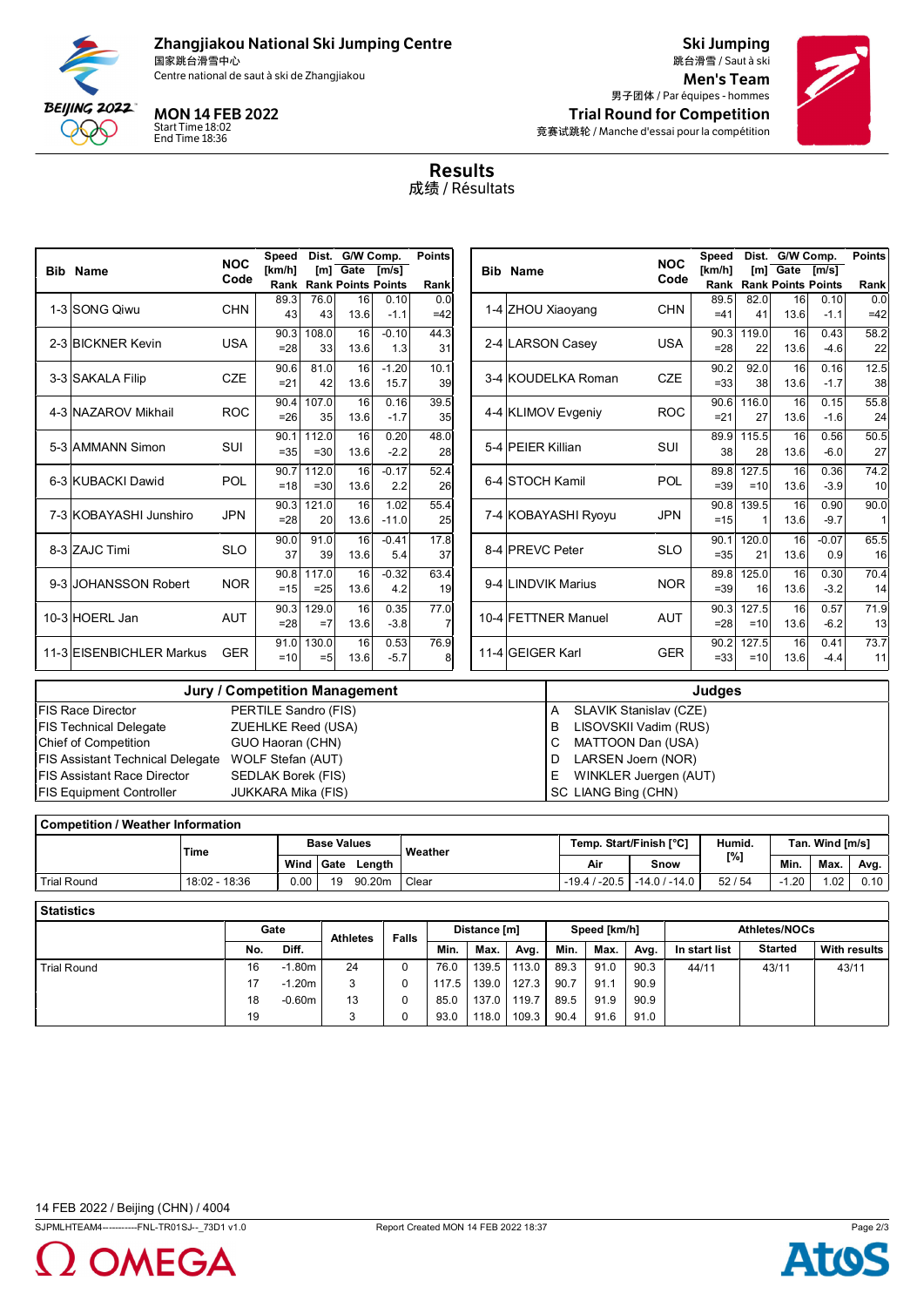

## Zhangjiakou National Ski Jumping Centre

国家跳台滑雪中心

Start Time 18:02 End Time 18:36

Ski Jumping 跳台滑雪 / Saut à ski Centre national de saut à ski de Zhangjiakou de la commune de la commune de la commune de la commune de la commune de la commune de la commune de la commune de la commune de la commune de la commune de la commune de la com 男子团体 / Par équipes - hommes MON 14 FEB 2022 **Trial Round for Competition** 竞赛试跳轮 / Manche d'essai pour la compétition



Results 成绩 / Résultats

|                                                                              |                                                                                                               | <b>NOC</b> | Speed                                | Dist. G/W Comp.                                             |                           |                | <b>Points</b>         |     |                     |                                                             | <b>NOC</b>                           | Speed              |               |                           | Dist. G/W Comp.           |      |  |
|------------------------------------------------------------------------------|---------------------------------------------------------------------------------------------------------------|------------|--------------------------------------|-------------------------------------------------------------|---------------------------|----------------|-----------------------|-----|---------------------|-------------------------------------------------------------|--------------------------------------|--------------------|---------------|---------------------------|---------------------------|------|--|
|                                                                              | <b>Bib Name</b>                                                                                               | Code       | [ $km/h$ ]                           | Im <sub>1</sub> Gate<br>$\mathsf{[m/s]}$<br><b>Bib Name</b> |                           | Code           | [km/h]                | [m] | Gate                | Im/s1                                                       |                                      |                    |               |                           |                           |      |  |
|                                                                              |                                                                                                               |            | Rank                                 |                                                             | <b>Rank Points Points</b> |                | Rank                  |     |                     |                                                             |                                      | Rank               |               | <b>Rank Points Points</b> |                           | Rank |  |
|                                                                              | 1-3 SONG Qiwu                                                                                                 | <b>CHN</b> | 89.3<br>43                           | 76.0<br>43                                                  | 16<br>13.6                | 0.10<br>$-1.1$ | 0.0                   |     | 1-4 ZHOU Xiaoyang   | <b>CHN</b>                                                  | 89.5<br>$=41$                        | 82.0<br>41         | 16<br>13.6    | 0.10<br>$-1.1$            | 0.0<br>$=42$              |      |  |
|                                                                              |                                                                                                               |            |                                      |                                                             |                           |                | $=42$                 |     |                     |                                                             |                                      |                    |               |                           |                           |      |  |
|                                                                              | 2-3 BICKNER Kevin                                                                                             | <b>USA</b> | 90.3                                 | 108.0                                                       | 16                        | $-0.10$        | 44.3                  |     |                     | 2-4 LARSON Casey                                            | <b>USA</b>                           | 90.3               | 119.0         | 16                        | 0.43                      | 58.2 |  |
|                                                                              |                                                                                                               |            | $= 28$                               | 33                                                          | 13.6                      | 1.3            | 31                    |     |                     |                                                             |                                      | $= 28$             | 22            | 13.6                      | $-4.6$                    | 22   |  |
|                                                                              | 3-3 SAKALA Filip                                                                                              | <b>CZE</b> | 90.6                                 | 81.0                                                        | 16                        | $-1.20$        | 10.1                  |     |                     | 3-4 KOUDELKA Roman                                          | <b>CZE</b>                           | 90.2               | 92.0          | 16                        | 0.16                      | 12.5 |  |
|                                                                              |                                                                                                               |            | $= 21$                               | 42                                                          | 13.6                      | 15.7           | 39                    |     |                     |                                                             |                                      | $= 33$             | 38            | 13.6                      | $-1.7$                    | 38   |  |
|                                                                              | 4-3 NAZAROV Mikhail                                                                                           | <b>ROC</b> | 90.4                                 | 107.0                                                       | 16                        | 0.16           | 39.5                  |     |                     | 4-4 KLIMOV Evgeniy                                          | <b>ROC</b>                           | 90.6               | 116.0         | 16                        | 0.15                      | 55.8 |  |
|                                                                              |                                                                                                               |            | $= 26$                               | 35                                                          | 13.6                      | $-1.7$         | 35                    |     |                     |                                                             |                                      | $= 21$             | 27            | 13.6                      | $-1.6$                    | 24   |  |
|                                                                              | 5-3 AMMANN Simon                                                                                              | SUI        | 90.1                                 | 112.0                                                       | 16                        | 0.20           | 48.0                  |     |                     | 5-4 PEIER Killian                                           | SUI                                  | 89.9               | 115.5         | 16                        | 0.56                      | 50.5 |  |
|                                                                              |                                                                                                               |            | $= 35$                               | $=30$                                                       | 13.6                      | $-2.2$         | 28                    |     |                     |                                                             |                                      | 38                 | 28            | 13.6                      | $-6.0$                    | 27   |  |
|                                                                              |                                                                                                               | POL        | 90.7                                 | 112.0                                                       | 16                        | $-0.17$        | 52.4                  |     |                     |                                                             |                                      | 89.8               | 127.5         | 16                        | 0.36                      | 74.2 |  |
|                                                                              | 6-3 KUBACKI Dawid                                                                                             |            | $=18$                                | $=30$                                                       | 13.6                      | 2.2            | 6-4 STOCH Kamil<br>26 |     |                     | POL                                                         |                                      | $=39$              | $=10$         | 13.6                      | $-3.9$                    | 10   |  |
|                                                                              | 7-3 KOBAYASHI Junshiro                                                                                        | <b>JPN</b> | 90.3                                 | 121.0                                                       | 16                        | 1.02           | 55.4                  |     |                     |                                                             |                                      | 90.8               | 139.5         | 16                        | 0.90                      | 90.0 |  |
|                                                                              |                                                                                                               |            | $= 28$                               | 20                                                          | 13.6                      | $-11.0$        | 25                    |     | 7-4 KOBAYASHI Ryoyu |                                                             | <b>JPN</b>                           | $=15$              |               | 13.6                      | $-9.7$                    | 1    |  |
|                                                                              |                                                                                                               |            | 90.0                                 | 91.0                                                        | 16                        | $-0.41$        | 17.8                  |     |                     |                                                             |                                      | 90.1               | 120.0         | 16                        | $-0.07$                   | 65.5 |  |
|                                                                              | 8-3 ZAJC Timi                                                                                                 | <b>SLO</b> | 37                                   | 39                                                          | 13.6                      | 5.4            | 37                    |     | 8-4 PREVC Peter     |                                                             | <b>SLO</b>                           | $= 35$             | 21            | 13.6                      | 0.9                       | 16   |  |
| 9-3 JOHANSSON Robert                                                         |                                                                                                               |            | 90.8                                 | 117.0                                                       | 16                        | $-0.32$        | 63.4                  |     |                     |                                                             | <b>NOR</b>                           | 89.8               | 125.0         | 16                        | 0.30                      | 70.4 |  |
|                                                                              |                                                                                                               | <b>NOR</b> | $=15$                                | $=25$                                                       | 13.6                      | 4.2            | 19                    |     |                     | 9-4 LINDVIK Marius                                          |                                      | $= 39$             | 16            | 13.6                      | $-3.2$                    | 14   |  |
| 10-3 HOERL Jan                                                               |                                                                                                               |            | 90.3                                 | 129.0                                                       | 16                        | 0.35           | 77.0                  |     |                     | 10-4 FETTNER Manuel                                         | <b>AUT</b>                           |                    | 90.3<br>127.5 | 16                        | 0.57                      | 71.9 |  |
|                                                                              |                                                                                                               | <b>AUT</b> | $= 28$                               | $=7$                                                        | 13.6                      | $-3.8$         | $\overline{7}$        |     |                     |                                                             |                                      | $= 28$             | $=10$         | 13.6                      | $-6.2$                    | 13   |  |
|                                                                              | 11-3 EISENBICHLER Markus                                                                                      | <b>GER</b> | 91.0                                 | 130.0                                                       | 16                        | 0.53           | 76.9                  |     |                     | 11-4 GEIGER Karl                                            | <b>GER</b>                           | 90.2               | 127.5         | 16                        | 0.41                      | 73.7 |  |
|                                                                              |                                                                                                               |            | $=10$                                | $=5$                                                        | 13.6                      | $-5.7$         | 8                     |     |                     |                                                             |                                      | $= 33$             | $=10$         | 13.6                      | $-4.4$                    | 11   |  |
|                                                                              |                                                                                                               |            | <b>Jury / Competition Management</b> |                                                             |                           |                |                       |     |                     |                                                             |                                      | <b>Judges</b>      |               |                           |                           |      |  |
|                                                                              | FIS Race Director                                                                                             |            | PERTILE Sandro (FIS)                 |                                                             |                           |                |                       |     |                     | A                                                           |                                      |                    |               |                           |                           |      |  |
|                                                                              |                                                                                                               |            |                                      |                                                             |                           |                |                       |     |                     | <b>SLAVIK Stanislav (CZE)</b><br>LISOVSKII Vadim (RUS)<br>B |                                      |                    |               |                           |                           |      |  |
|                                                                              | <b>FIS Technical Delegate</b><br><b>ZUEHLKE Reed (USA)</b><br><b>Chief of Competition</b><br>GUO Haoran (CHN) |            |                                      |                                                             |                           |                |                       |     |                     | MATTOON Dan (USA)<br>C                                      |                                      |                    |               |                           |                           |      |  |
|                                                                              | <b>FIS Assistant Technical Delegate</b><br>WOLF Stefan (AUT)                                                  |            |                                      |                                                             |                           |                |                       |     |                     | LARSEN Joern (NOR)<br>D                                     |                                      |                    |               |                           |                           |      |  |
|                                                                              | <b>FIS Assistant Race Director</b><br>SEDLAK Borek (FIS)                                                      |            |                                      |                                                             |                           |                |                       |     |                     |                                                             | WINKLER Juergen (AUT)<br>Ε           |                    |               |                           |                           |      |  |
| SC LIANG Bing (CHN)<br><b>FIS Equipment Controller</b><br>JUKKARA Mika (FIS) |                                                                                                               |            |                                      |                                                             |                           |                |                       |     |                     |                                                             |                                      |                    |               |                           |                           |      |  |
|                                                                              |                                                                                                               |            |                                      |                                                             |                           |                |                       |     |                     |                                                             |                                      |                    |               |                           |                           |      |  |
|                                                                              | <b>Competition / Weather Information</b>                                                                      |            |                                      |                                                             |                           |                |                       |     |                     |                                                             |                                      |                    |               |                           |                           |      |  |
|                                                                              |                                                                                                               |            |                                      | $D = -11$                                                   |                           |                |                       |     |                     | $\mathbf{r}$                                                | $O(1 + \frac{1}{2} \pi)$ is the FOOT | <b>The control</b> |               |                           | $T = 0.180 \times 10^{8}$ |      |  |

|             | Time          | <b>Base Values</b> |             |        | Weather |     | Temp. Start/Finish [°C]     | Humid. |         | Tan. Wind [m/s] |      |  |  |
|-------------|---------------|--------------------|-------------|--------|---------|-----|-----------------------------|--------|---------|-----------------|------|--|--|
|             |               | Wind               | <b>Gate</b> | Lenath |         | Air | Snow                        | [%]    | Min.    | Max.            | Avg. |  |  |
| Trial Round | 18:02 - 18:36 | 0.00               | 19          | 90.20m | Clear   |     | $-19.4/ -20.5 -14.0/ -14.0$ | 52/54  | $-1.20$ | .02             | 0.10 |  |  |
|             |               |                    |             |        |         |     |                             |        |         |                 |      |  |  |

| <b>Statistics</b>  |      |          |                 |              |              |       |       |              |      |      |                      |                |                     |  |  |
|--------------------|------|----------|-----------------|--------------|--------------|-------|-------|--------------|------|------|----------------------|----------------|---------------------|--|--|
|                    | Gate |          | <b>Athletes</b> | <b>Falls</b> | Distance [m] |       |       | Speed [km/h] |      |      | <b>Athletes/NOCs</b> |                |                     |  |  |
|                    | No.  | Diff.    |                 |              | Min.         | Max.  | Avg.  | Min.         | Max. | Avg. | In start list        | <b>Started</b> | <b>With results</b> |  |  |
| <b>Trial Round</b> | 16   | $-1.80m$ | 24              | 0            | 76.0         | 139.5 | 113.0 | 89.3         | 91.0 | 90.3 | 44/11                | 43/11          | 43/11               |  |  |
|                    | 17   | $-1.20m$ | 3               | U            | 117.5        | 139.0 | 127.3 | 90.7         | 91.1 | 90.9 |                      |                |                     |  |  |
|                    | 18   | $-0.60m$ | 13              |              | 85.0         | 137.0 | 119.7 | 89.5         | 91.9 | 90.9 |                      |                |                     |  |  |
|                    | 19   |          |                 | υ            | 93.0         | 118.0 | 109.3 | 90.4         | 91.6 | 91.0 |                      |                |                     |  |  |

SJPMLHTEAM4-----------FNL-TR01SJ--\_73D1 v1.0 Report Created MON 14 FEB 2022 18:37 Page 2/3